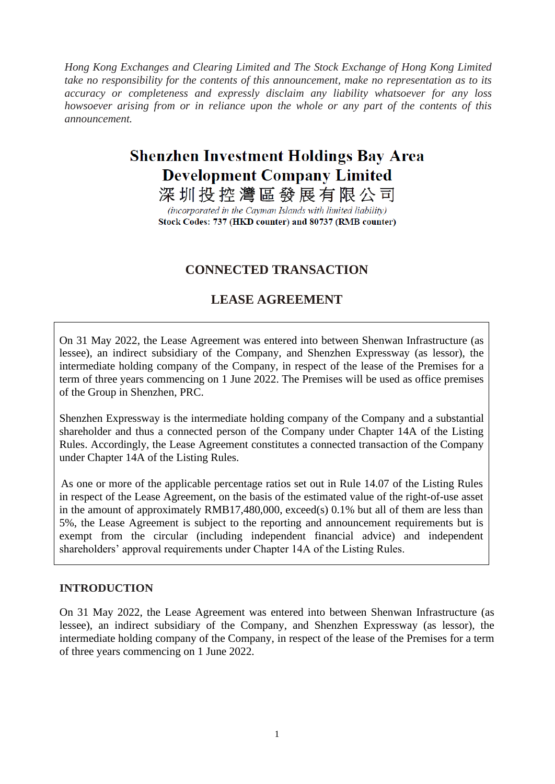*Hong Kong Exchanges and Clearing Limited and The Stock Exchange of Hong Kong Limited take no responsibility for the contents of this announcement, make no representation as to its accuracy or completeness and expressly disclaim any liability whatsoever for any loss howsoever arising from or in reliance upon the whole or any part of the contents of this announcement.*

# **Shenzhen Investment Holdings Bay Area Development Company Limited**

深圳投控灣區發展有限公司

(incorporated in the Cayman Islands with limited liability) Stock Codes: 737 (HKD counter) and 80737 (RMB counter)

# **CONNECTED TRANSACTION**

## **LEASE AGREEMENT**

On 31 May 2022, the Lease Agreement was entered into between Shenwan Infrastructure (as lessee), an indirect subsidiary of the Company, and Shenzhen Expressway (as lessor), the intermediate holding company of the Company, in respect of the lease of the Premises for a term of three years commencing on 1 June 2022. The Premises will be used as office premises of the Group in Shenzhen, PRC.

Shenzhen Expressway is the intermediate holding company of the Company and a substantial shareholder and thus a connected person of the Company under Chapter 14A of the Listing Rules. Accordingly, the Lease Agreement constitutes a connected transaction of the Company under Chapter 14A of the Listing Rules.

As one or more of the applicable percentage ratios set out in Rule 14.07 of the Listing Rules in respect of the Lease Agreement, on the basis of the estimated value of the right-of-use asset in the amount of approximately RMB17,480,000, exceed(s) 0.1% but all of them are less than 5%, the Lease Agreement is subject to the reporting and announcement requirements but is exempt from the circular (including independent financial advice) and independent shareholders' approval requirements under Chapter 14A of the Listing Rules.

#### **INTRODUCTION**

On 31 May 2022, the Lease Agreement was entered into between Shenwan Infrastructure (as lessee), an indirect subsidiary of the Company, and Shenzhen Expressway (as lessor), the intermediate holding company of the Company, in respect of the lease of the Premises for a term of three years commencing on 1 June 2022.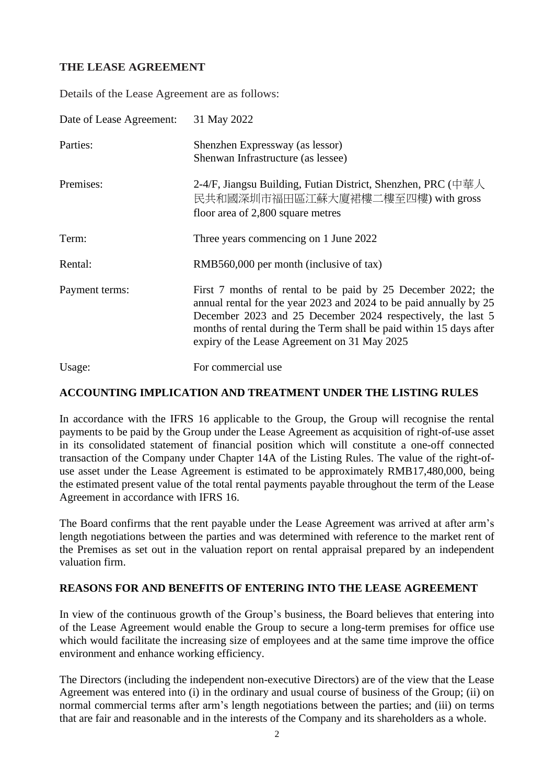## **THE LEASE AGREEMENT**

Details of the Lease Agreement are as follows:

| Date of Lease Agreement: | 31 May 2022                                                                                                                                                                                                                                                                                                              |
|--------------------------|--------------------------------------------------------------------------------------------------------------------------------------------------------------------------------------------------------------------------------------------------------------------------------------------------------------------------|
| Parties:                 | Shenzhen Expressway (as lessor)<br>Shenwan Infrastructure (as lessee)                                                                                                                                                                                                                                                    |
| Premises:                | 2-4/F, Jiangsu Building, Futian District, Shenzhen, PRC (中華人<br>民共和國深圳市福田區江蘇大廈裙樓二樓至四樓) with gross<br>floor area of 2,800 square metres                                                                                                                                                                                   |
| Term:                    | Three years commencing on 1 June 2022                                                                                                                                                                                                                                                                                    |
| Rental:                  | RMB560,000 per month (inclusive of tax)                                                                                                                                                                                                                                                                                  |
| Payment terms:           | First 7 months of rental to be paid by 25 December 2022; the<br>annual rental for the year 2023 and 2024 to be paid annually by 25<br>December 2023 and 25 December 2024 respectively, the last 5<br>months of rental during the Term shall be paid within 15 days after<br>expiry of the Lease Agreement on 31 May 2025 |
| Usage:                   | For commercial use                                                                                                                                                                                                                                                                                                       |

#### **ACCOUNTING IMPLICATION AND TREATMENT UNDER THE LISTING RULES**

In accordance with the IFRS 16 applicable to the Group, the Group will recognise the rental payments to be paid by the Group under the Lease Agreement as acquisition of right-of-use asset in its consolidated statement of financial position which will constitute a one-off connected transaction of the Company under Chapter 14A of the Listing Rules. The value of the right-ofuse asset under the Lease Agreement is estimated to be approximately RMB17,480,000, being the estimated present value of the total rental payments payable throughout the term of the Lease Agreement in accordance with IFRS 16.

The Board confirms that the rent payable under the Lease Agreement was arrived at after arm's length negotiations between the parties and was determined with reference to the market rent of the Premises as set out in the valuation report on rental appraisal prepared by an independent valuation firm.

#### **REASONS FOR AND BENEFITS OF ENTERING INTO THE LEASE AGREEMENT**

In view of the continuous growth of the Group's business, the Board believes that entering into of the Lease Agreement would enable the Group to secure a long-term premises for office use which would facilitate the increasing size of employees and at the same time improve the office environment and enhance working efficiency.

The Directors (including the independent non-executive Directors) are of the view that the Lease Agreement was entered into (i) in the ordinary and usual course of business of the Group; (ii) on normal commercial terms after arm's length negotiations between the parties; and (iii) on terms that are fair and reasonable and in the interests of the Company and its shareholders as a whole.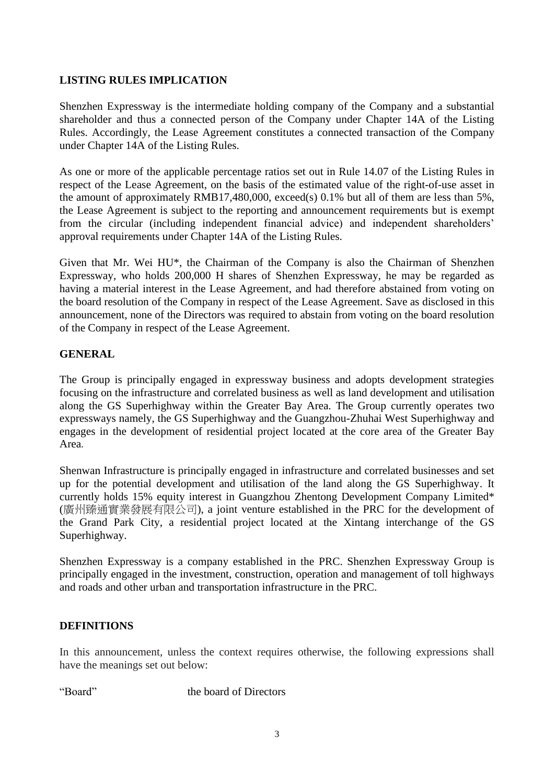## **LISTING RULES IMPLICATION**

Shenzhen Expressway is the intermediate holding company of the Company and a substantial shareholder and thus a connected person of the Company under Chapter 14A of the Listing Rules. Accordingly, the Lease Agreement constitutes a connected transaction of the Company under Chapter 14A of the Listing Rules.

As one or more of the applicable percentage ratios set out in Rule 14.07 of the Listing Rules in respect of the Lease Agreement, on the basis of the estimated value of the right-of-use asset in the amount of approximately RMB17,480,000, exceed(s) 0.1% but all of them are less than 5%, the Lease Agreement is subject to the reporting and announcement requirements but is exempt from the circular (including independent financial advice) and independent shareholders' approval requirements under Chapter 14A of the Listing Rules.

Given that Mr. Wei HU\*, the Chairman of the Company is also the Chairman of Shenzhen Expressway, who holds 200,000 H shares of Shenzhen Expressway, he may be regarded as having a material interest in the Lease Agreement, and had therefore abstained from voting on the board resolution of the Company in respect of the Lease Agreement. Save as disclosed in this announcement, none of the Directors was required to abstain from voting on the board resolution of the Company in respect of the Lease Agreement.

### **GENERAL**

The Group is principally engaged in expressway business and adopts development strategies focusing on the infrastructure and correlated business as well as land development and utilisation along the GS Superhighway within the Greater Bay Area. The Group currently operates two expressways namely, the GS Superhighway and the Guangzhou-Zhuhai West Superhighway and engages in the development of residential project located at the core area of the Greater Bay Area.

Shenwan Infrastructure is principally engaged in infrastructure and correlated businesses and set up for the potential development and utilisation of the land along the GS Superhighway. It currently holds 15% equity interest in Guangzhou Zhentong Development Company Limited\* (廣州臻通實業發展有限公司), a joint venture established in the PRC for the development of the Grand Park City, a residential project located at the Xintang interchange of the GS Superhighway.

Shenzhen Expressway is a company established in the PRC. Shenzhen Expressway Group is principally engaged in the investment, construction, operation and management of toll highways and roads and other urban and transportation infrastructure in the PRC.

### **DEFINITIONS**

In this announcement, unless the context requires otherwise, the following expressions shall have the meanings set out below:

"Board" the board of Directors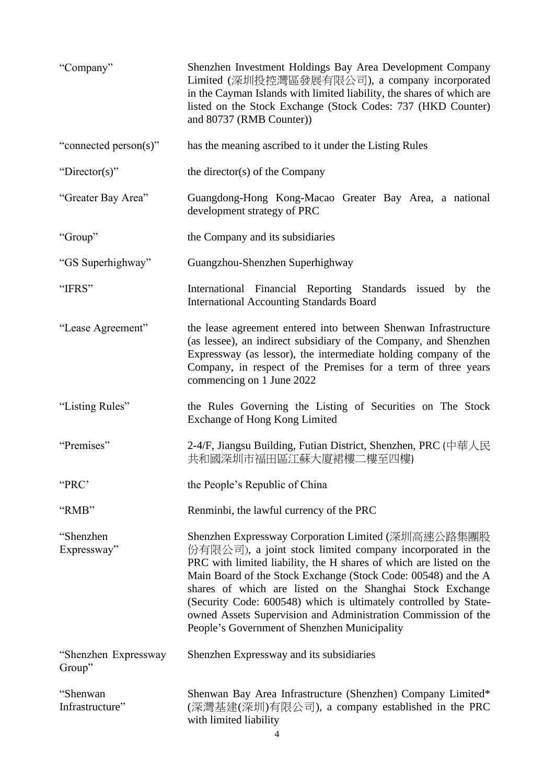| "Company"                      | Shenzhen Investment Holdings Bay Area Development Company<br>Limited (深圳投控灣區發展有限公司), a company incorporated<br>in the Cayman Islands with limited liability, the shares of which are<br>listed on the Stock Exchange (Stock Codes: 737 (HKD Counter)<br>and 80737 (RMB Counter))                                                                                                                                                                                                                           |
|--------------------------------|------------------------------------------------------------------------------------------------------------------------------------------------------------------------------------------------------------------------------------------------------------------------------------------------------------------------------------------------------------------------------------------------------------------------------------------------------------------------------------------------------------|
| "connected person(s)"          | has the meaning ascribed to it under the Listing Rules                                                                                                                                                                                                                                                                                                                                                                                                                                                     |
| "Director(s)"                  | the director(s) of the Company                                                                                                                                                                                                                                                                                                                                                                                                                                                                             |
| "Greater Bay Area"             | Guangdong-Hong Kong-Macao Greater Bay Area, a national<br>development strategy of PRC                                                                                                                                                                                                                                                                                                                                                                                                                      |
| "Group"                        | the Company and its subsidiaries                                                                                                                                                                                                                                                                                                                                                                                                                                                                           |
| "GS Superhighway"              | Guangzhou-Shenzhen Superhighway                                                                                                                                                                                                                                                                                                                                                                                                                                                                            |
| "IFRS"                         | International Financial Reporting Standards issued by the<br><b>International Accounting Standards Board</b>                                                                                                                                                                                                                                                                                                                                                                                               |
| "Lease Agreement"              | the lease agreement entered into between Shenwan Infrastructure<br>(as lessee), an indirect subsidiary of the Company, and Shenzhen<br>Expressway (as lessor), the intermediate holding company of the<br>Company, in respect of the Premises for a term of three years<br>commencing on 1 June 2022                                                                                                                                                                                                       |
| "Listing Rules"                | the Rules Governing the Listing of Securities on The Stock<br>Exchange of Hong Kong Limited                                                                                                                                                                                                                                                                                                                                                                                                                |
| "Premises"                     | 2-4/F, Jiangsu Building, Futian District, Shenzhen, PRC (中華人民<br>共和國深圳市福田區江蘇大廈裙樓二樓至四樓)                                                                                                                                                                                                                                                                                                                                                                                                                     |
| "PRC"                          | the People's Republic of China                                                                                                                                                                                                                                                                                                                                                                                                                                                                             |
| "RMB"                          | Renminbi, the lawful currency of the PRC                                                                                                                                                                                                                                                                                                                                                                                                                                                                   |
| "Shenzhen<br>Expressway"       | Shenzhen Expressway Corporation Limited (深圳高速公路集團股<br>份有限公司), a joint stock limited company incorporated in the<br>PRC with limited liability, the H shares of which are listed on the<br>Main Board of the Stock Exchange (Stock Code: 00548) and the A<br>shares of which are listed on the Shanghai Stock Exchange<br>(Security Code: 600548) which is ultimately controlled by State-<br>owned Assets Supervision and Administration Commission of the<br>People's Government of Shenzhen Municipality |
| "Shenzhen Expressway<br>Group" | Shenzhen Expressway and its subsidiaries                                                                                                                                                                                                                                                                                                                                                                                                                                                                   |
| "Shenwan<br>Infrastructure"    | Shenwan Bay Area Infrastructure (Shenzhen) Company Limited*<br>(深灣基建(深圳)有限公司), a company established in the PRC<br>with limited liability                                                                                                                                                                                                                                                                                                                                                                  |